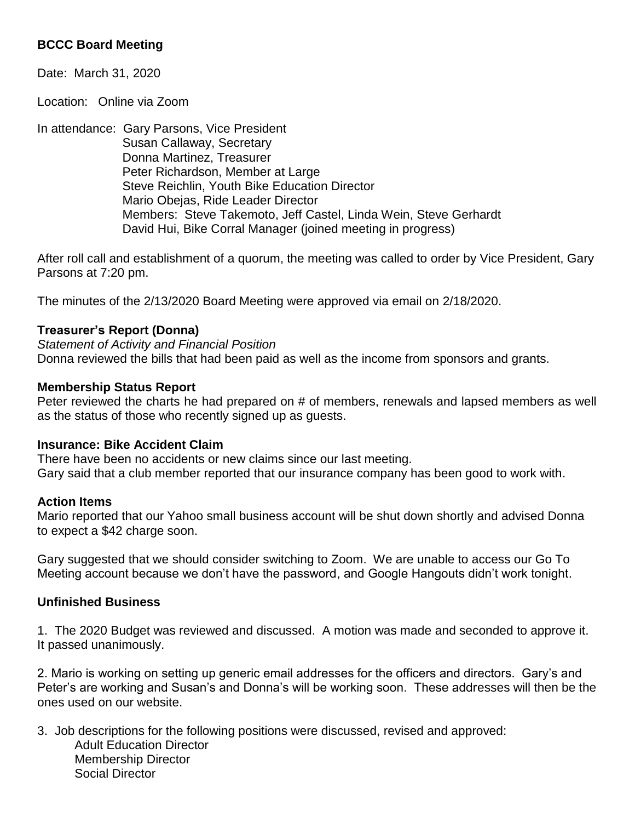# **BCCC Board Meeting**

Date: March 31, 2020

Location: Online via Zoom

In attendance: Gary Parsons, Vice President Susan Callaway, Secretary Donna Martinez, Treasurer Peter Richardson, Member at Large Steve Reichlin, Youth Bike Education Director Mario Obejas, Ride Leader Director Members: Steve Takemoto, Jeff Castel, Linda Wein, Steve Gerhardt David Hui, Bike Corral Manager (joined meeting in progress)

After roll call and establishment of a quorum, the meeting was called to order by Vice President, Gary Parsons at 7:20 pm.

The minutes of the 2/13/2020 Board Meeting were approved via email on 2/18/2020.

## **Treasurer's Report (Donna)**

*Statement of Activity and Financial Position* Donna reviewed the bills that had been paid as well as the income from sponsors and grants.

## **Membership Status Report**

Peter reviewed the charts he had prepared on # of members, renewals and lapsed members as well as the status of those who recently signed up as guests.

### **Insurance: Bike Accident Claim**

There have been no accidents or new claims since our last meeting. Gary said that a club member reported that our insurance company has been good to work with.

### **Action Items**

Mario reported that our Yahoo small business account will be shut down shortly and advised Donna to expect a \$42 charge soon.

Gary suggested that we should consider switching to Zoom. We are unable to access our Go To Meeting account because we don't have the password, and Google Hangouts didn't work tonight.

# **Unfinished Business**

1. The 2020 Budget was reviewed and discussed. A motion was made and seconded to approve it. It passed unanimously.

2. Mario is working on setting up generic email addresses for the officers and directors. Gary's and Peter's are working and Susan's and Donna's will be working soon. These addresses will then be the ones used on our website.

3. Job descriptions for the following positions were discussed, revised and approved: Adult Education Director Membership Director Social Director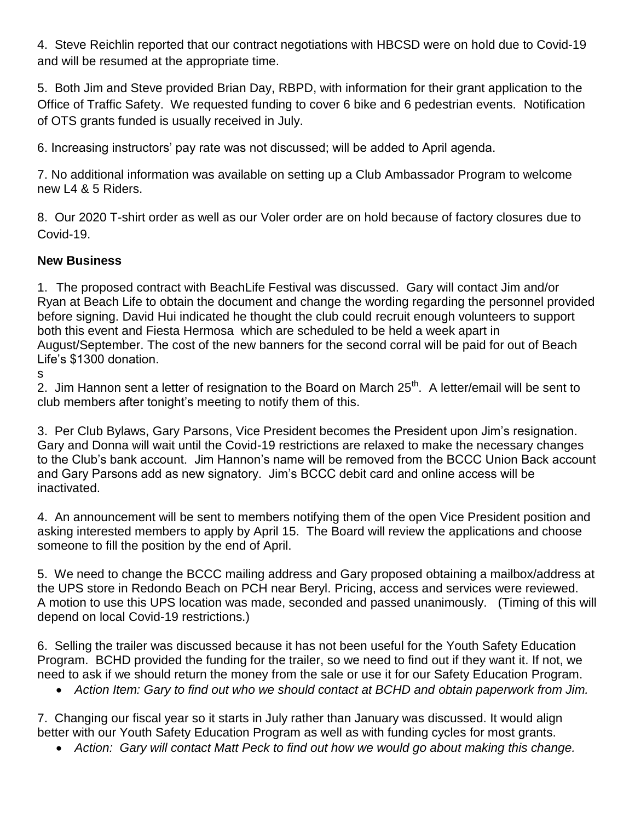4. Steve Reichlin reported that our contract negotiations with HBCSD were on hold due to Covid-19 and will be resumed at the appropriate time.

5. Both Jim and Steve provided Brian Day, RBPD, with information for their grant application to the Office of Traffic Safety. We requested funding to cover 6 bike and 6 pedestrian events. Notification of OTS grants funded is usually received in July.

6. Increasing instructors' pay rate was not discussed; will be added to April agenda.

7. No additional information was available on setting up a Club Ambassador Program to welcome new L4 & 5 Riders.

8. Our 2020 T-shirt order as well as our Voler order are on hold because of factory closures due to Covid-19.

# **New Business**

1. The proposed contract with BeachLife Festival was discussed. Gary will contact Jim and/or Ryan at Beach Life to obtain the document and change the wording regarding the personnel provided before signing. David Hui indicated he thought the club could recruit enough volunteers to support both this event and Fiesta Hermosa which are scheduled to be held a week apart in August/September. The cost of the new banners for the second corral will be paid for out of Beach Life's \$1300 donation.

s

2. Jim Hannon sent a letter of resignation to the Board on March 25<sup>th</sup>. A letter/email will be sent to club members after tonight's meeting to notify them of this.

3. Per Club Bylaws, Gary Parsons, Vice President becomes the President upon Jim's resignation. Gary and Donna will wait until the Covid-19 restrictions are relaxed to make the necessary changes to the Club's bank account. Jim Hannon's name will be removed from the BCCC Union Back account and Gary Parsons add as new signatory. Jim's BCCC debit card and online access will be inactivated.

4. An announcement will be sent to members notifying them of the open Vice President position and asking interested members to apply by April 15. The Board will review the applications and choose someone to fill the position by the end of April.

5. We need to change the BCCC mailing address and Gary proposed obtaining a mailbox/address at the UPS store in Redondo Beach on PCH near Beryl. Pricing, access and services were reviewed. A motion to use this UPS location was made, seconded and passed unanimously. (Timing of this will depend on local Covid-19 restrictions.)

6. Selling the trailer was discussed because it has not been useful for the Youth Safety Education Program. BCHD provided the funding for the trailer, so we need to find out if they want it. If not, we need to ask if we should return the money from the sale or use it for our Safety Education Program.

*Action Item: Gary to find out who we should contact at BCHD and obtain paperwork from Jim.*

7. Changing our fiscal year so it starts in July rather than January was discussed. It would align better with our Youth Safety Education Program as well as with funding cycles for most grants.

*Action: Gary will contact Matt Peck to find out how we would go about making this change.*